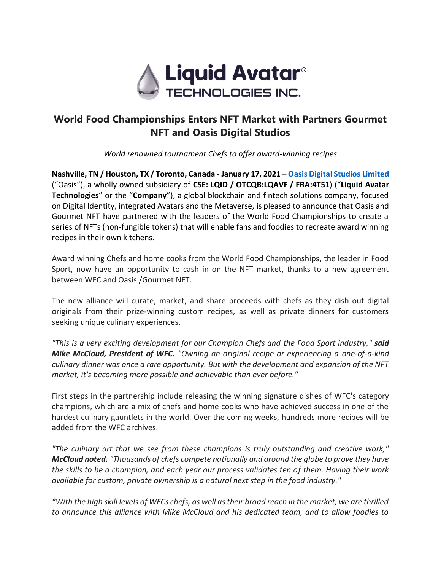

# **World Food Championships Enters NFT Market with Partners Gourmet NFT and Oasis Digital Studios**

*World renowned tournament Chefs to offer award-winning recipes*

**Nashville, TN / Houston, TX / Toronto, Canada - January 17, 2021** – **[Oasis Digital Studios](https://oasisdigitalstudios.com/) Limited** ("Oasis"), a wholly owned subsidiary of **CSE: LQID / OTCQB:LQAVF / FRA:4T51**) ("**Liquid Avatar Technologies**" or the "**Company**"), a global blockchain and fintech solutions company, focused on Digital Identity, integrated Avatars and the Metaverse, is pleased to announce that Oasis and Gourmet NFT have partnered with the leaders of the World Food Championships to create a series of NFTs (non-fungible tokens) that will enable fans and foodies to recreate award winning recipes in their own kitchens.

Award winning Chefs and home cooks from the World Food Championships, the leader in Food Sport, now have an opportunity to cash in on the NFT market, thanks to a new agreement between WFC and Oasis /Gourmet NFT.

The new alliance will curate, market, and share proceeds with chefs as they dish out digital originals from their prize-winning custom recipes, as well as private dinners for customers seeking unique culinary experiences.

*"This is a very exciting development for our Champion Chefs and the Food Sport industry," said Mike McCloud, President of WFC. "Owning an original recipe or experiencing a one-of-a-kind culinary dinner was once a rare opportunity. But with the development and expansion of the NFT market, it's becoming more possible and achievable than ever before."*

First steps in the partnership include releasing the winning signature dishes of WFC's category champions, which are a mix of chefs and home cooks who have achieved success in one of the hardest culinary gauntlets in the world. Over the coming weeks, hundreds more recipes will be added from the WFC archives.

*"The culinary art that we see from these champions is truly outstanding and creative work," McCloud noted. "Thousands of chefs compete nationally and around the globe to prove they have the skills to be a champion, and each year our process validates ten of them. Having their work available for custom, private ownership is a natural next step in the food industry."*

*"With the high skill levels of WFCs chefs, as well as their broad reach in the market, we are thrilled to announce this alliance with Mike McCloud and his dedicated team, and to allow foodies to*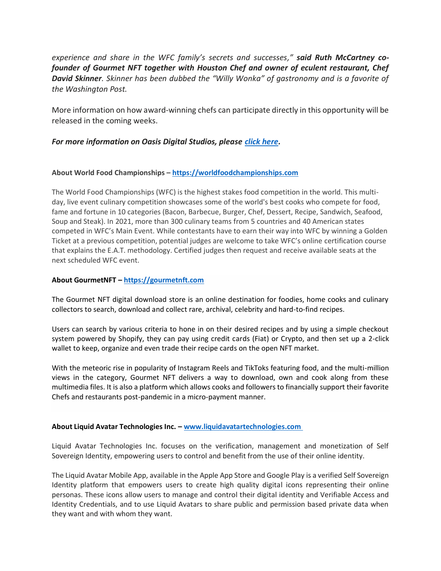*experience and share in the WFC family's secrets and successes," said Ruth McCartney cofounder of Gourmet NFT together with Houston Chef and owner of eculent restaurant, Chef David Skinner. Skinner has been dubbed the "Willy Wonka" of gastronomy and is a favorite of the Washington Post.*

More information on how award-winning chefs can participate directly in this opportunity will be released in the coming weeks.

## *For more information on Oasis Digital Studios, please [click here.](https://oasisdigitalstudios.com/)*

## **About World Food Championships – [https://worldfoodchampionships.com](https://worldfoodchampionships.com/)**

The World Food Championships (WFC) is the highest stakes food competition in the world. This multiday, live event culinary competition showcases some of the world's best cooks who compete for food, fame and fortune in 10 categories (Bacon, Barbecue, Burger, Chef, Dessert, Recipe, Sandwich, Seafood, Soup and Steak). In 2021, more than 300 culinary teams from 5 countries and 40 American states competed in WFC's Main Event. While contestants have to earn their way into WFC by winning a Golden Ticket at a previous competition, potential judges are welcome to take WFC's online certification course that explains the E.A.T. methodology. Certified judges then request and receive available seats at the next scheduled WFC event.

## **About GourmetNFT – [https://gourmetnft.com](https://www.gourmetnft.com/)**

The Gourmet NFT digital download store is an online destination for foodies, home cooks and culinary collectors to search, download and collect rare, archival, celebrity and hard-to-find recipes.

Users can search by various criteria to hone in on their desired recipes and by using a simple checkout system powered by Shopify, they can pay using credit cards (Fiat) or Crypto, and then set up a 2-click wallet to keep, organize and even trade their recipe cards on the open NFT market.

With the meteoric rise in popularity of Instagram Reels and TikToks featuring food, and the multi-million views in the category, Gourmet NFT delivers a way to download, own and cook along from these multimedia files. It is also a platform which allows cooks and followers to financially support their favorite Chefs and restaurants post-pandemic in a micro-payment manner.

#### **About Liquid Avatar Technologies Inc. – [www.liquidavatartechnologies.com](http://www.liquidavatartechnologies.com/)**

Liquid Avatar Technologies Inc. focuses on the verification, management and monetization of Self Sovereign Identity, empowering users to control and benefit from the use of their online identity.

The Liquid Avatar Mobile App, available in the Apple App Store and Google Play is a verified Self Sovereign Identity platform that empowers users to create high quality digital icons representing their online personas. These icons allow users to manage and control their digital identity and Verifiable Access and Identity Credentials, and to use Liquid Avatars to share public and permission based private data when they want and with whom they want.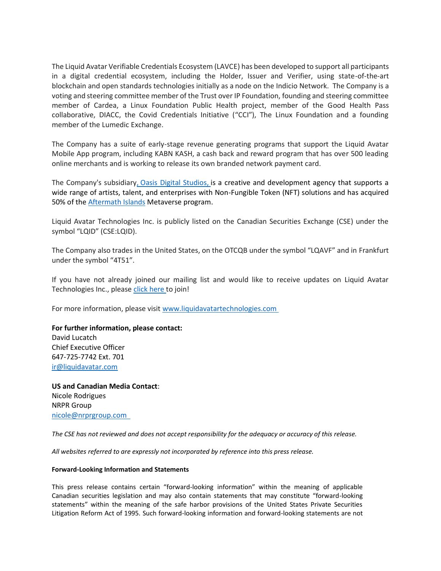The Liquid Avatar Verifiable Credentials Ecosystem (LAVCE) has been developed to support all participants in a digital credential ecosystem, including the Holder, Issuer and Verifier, using state-of-the-art blockchain and open standards technologies initially as a node on the Indicio Network. The Company is a voting and steering committee member of the Trust over IP Foundation, founding and steering committee member of Cardea, a Linux Foundation Public Health project, member of the Good Health Pass collaborative, DIACC, the Covid Credentials Initiative ("CCI"), The Linux Foundation and a founding member of the Lumedic Exchange.

The Company has a suite of early-stage revenue generating programs that support the Liquid Avatar Mobile App program, including KABN KASH, a cash back and reward program that has over 500 leading online merchants and is working to release its own branded network payment card.

The Company's subsidiary, [Oasis Digital Studios,](https://oasisdigitalstudios.com/) is a creative and development agency that supports a wide range of artists, talent, and enterprises with Non-Fungible Token (NFT) solutions and has acquired 50% of th[e Aftermath Islands](https://aftermathislands.com/) Metaverse program.

Liquid Avatar Technologies Inc. is publicly listed on the Canadian Securities Exchange (CSE) under the symbol "LQID" (CSE:LQID).

The Company also trades in the United States, on the OTCQB under the symbol "LQAVF" and in Frankfurt under the symbol "4T51".

If you have not already joined our mailing list and would like to receive updates on Liquid Avatar Technologies Inc., please [click here](https://hello.liquidavatar.com/liquid-avatar-updates) to join!

For more information, please visit [www.liquidavatartechnologies.com](http://www.liquidavatartechnologies.com/)

#### **For further information, please contact:**

David Lucatch Chief Executive Officer 647-725-7742 Ext. 701 [ir@liquidavatar.com](mailto:ir@liquidavatar.com)

**US and Canadian Media Contact**: Nicole Rodrigues NRPR Group [nicole@nrprgroup.com](mailto:nicole@nrprgroup.com) 

*The CSE has not reviewed and does not accept responsibility for the adequacy or accuracy of this release.*

*All websites referred to are expressly not incorporated by reference into this press release.*

#### **Forward-Looking Information and Statements**

This press release contains certain "forward-looking information" within the meaning of applicable Canadian securities legislation and may also contain statements that may constitute "forward-looking statements" within the meaning of the safe harbor provisions of the United States Private Securities Litigation Reform Act of 1995. Such forward-looking information and forward-looking statements are not